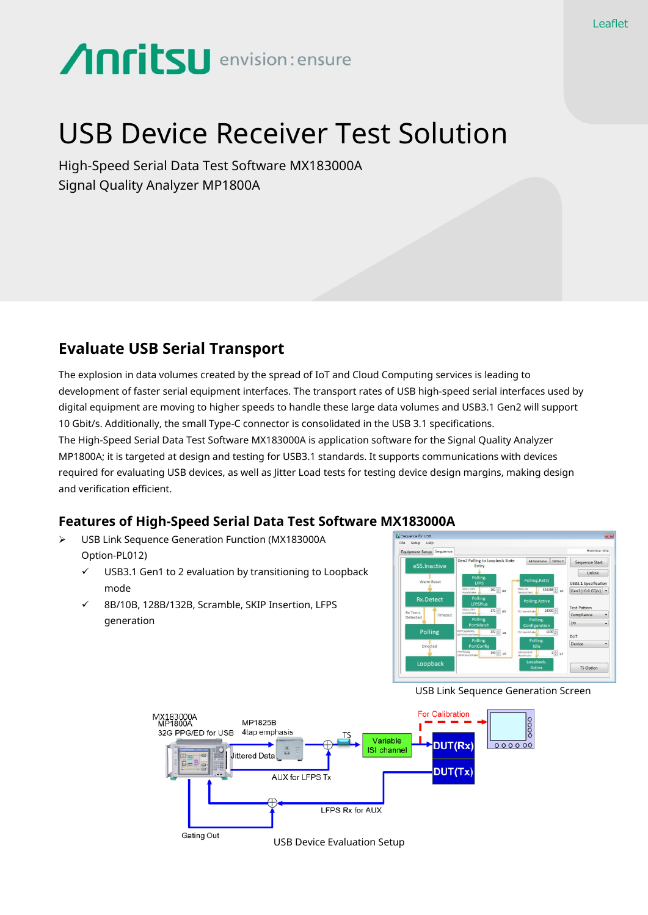# **Anritsu** envision: ensure

# USB Device Receiver Test Solution

High-Speed Serial Data Test Software MX183000A Signal Quality Analyzer MP1800A

## **Evaluate USB Serial Transport**

The explosion in data volumes created by the spread of IoT and Cloud Computing services is leading to development of faster serial equipment interfaces. The transport rates of USB high-speed serial interfaces used by digital equipment are moving to higher speeds to handle these large data volumes and USB3.1 Gen2 will support 10 Gbit/s. Additionally, the small Type-C connector is consolidated in the USB 3.1 specifications. The High-Speed Serial Data Test Software MX183000A is application software for the Signal Quality Analyzer MP1800A; it is targeted at design and testing for USB3.1 standards. It supports communications with devices required for evaluating USB devices, as well as Jitter Load tests for testing device design margins, making design and verification efficient.

### **Features of High-Speed Serial Data Test Software MX183000A**

- USB Link Sequence Generation Function (MX183000A Option-PL012)
	- $\checkmark$  USB3.1 Gen1 to 2 evaluation by transitioning to Loopback mode
	- 8B/10B, 128B/132B, Scramble, SKIP Insertion, LFPS generation